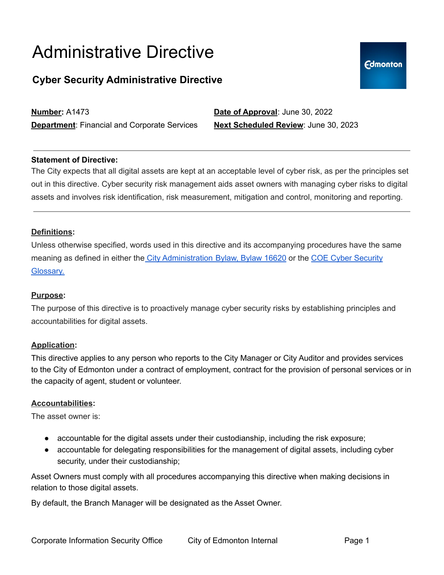# Administrative Directive

## **Cyber Security Administrative Directive**

**Number:** A1473 **Date of Approval**: June 30, 2022 **Department:** Financial and Corporate Services **Next Scheduled Review**: June 30, 2023

### **Statement of Directive:**

The City expects that all digital assets are kept at an acceptable level of cyber risk, as per the principles set out in this directive. Cyber security risk management aids asset owners with managing cyber risks to digital assets and involves risk identification, risk measurement, mitigation and control, monitoring and reporting.

### **Definitions:**

Unless otherwise specified, words used in this directive and its accompanying procedures have the same meaning as defined in either the City [Administration](https://www.edmonton.ca/public-files/assets/document?path=Bylaws/C16620.pdf) Bylaw, Bylaw 16620 or the COE Cyber [Security](https://onecity.edmonton.ca/sites/default/files/box-files/assets/PDFs/Cyber_Security_Glossary.pdf?cb=1652971873) [Glossary.](https://onecity.edmonton.ca/sites/default/files/box-files/assets/PDFs/Cyber_Security_Glossary.pdf?cb=1652971873)

#### **Purpose:**

The purpose of this directive is to proactively manage cyber security risks by establishing principles and accountabilities for digital assets.

#### **Application:**

This directive applies to any person who reports to the City Manager or City Auditor and provides services to the City of Edmonton under a contract of employment, contract for the provision of personal services or in the capacity of agent, student or volunteer.

### **Accountabilities:**

The asset owner is:

- accountable for the digital assets under their custodianship, including the risk exposure;
- accountable for delegating responsibilities for the management of digital assets, including cyber security, under their custodianship;

Asset Owners must comply with all procedures accompanying this directive when making decisions in relation to those digital assets.

By default, the Branch Manager will be designated as the Asset Owner.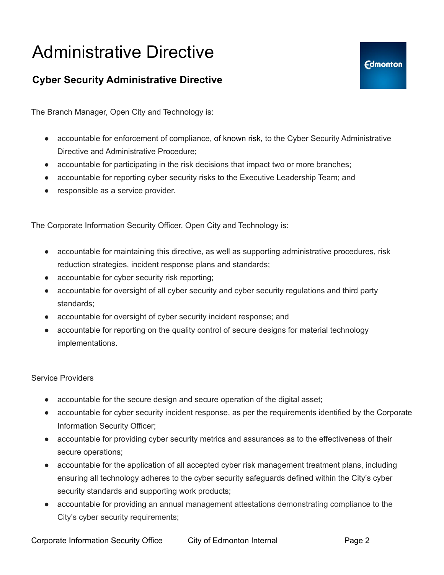# Administrative Directive

# **Cyber Security Administrative Directive**

The Branch Manager, Open City and Technology is:

- accountable for enforcement of compliance, of known risk, to the Cyber Security Administrative Directive and Administrative Procedure;
- accountable for participating in the risk decisions that impact two or more branches;
- accountable for reporting cyber security risks to the Executive Leadership Team; and
- responsible as a service provider.

The Corporate Information Security Officer, Open City and Technology is:

- accountable for maintaining this directive, as well as supporting administrative procedures, risk reduction strategies, incident response plans and standards;
- accountable for cyber security risk reporting;
- accountable for oversight of all cyber security and cyber security regulations and third party standards;
- accountable for oversight of cyber security incident response; and
- accountable for reporting on the quality control of secure designs for material technology implementations.

## Service Providers

- accountable for the secure design and secure operation of the digital asset;
- accountable for cyber security incident response, as per the requirements identified by the Corporate Information Security Officer;
- accountable for providing cyber security metrics and assurances as to the effectiveness of their secure operations;
- accountable for the application of all accepted cyber risk management treatment plans, including ensuring all technology adheres to the cyber security safeguards defined within the City's cyber security standards and supporting work products;
- accountable for providing an annual management attestations demonstrating compliance to the City's cyber security requirements;